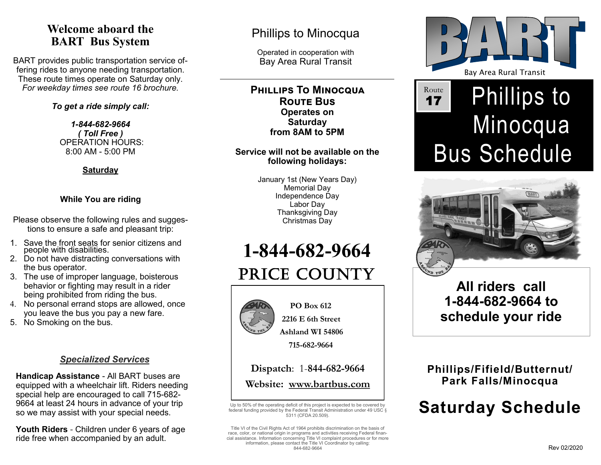## **Welcome aboard the BART Bus System**

BART provides public transportation service offering rides to anyone needing transportation. These route times operate on Saturday only. *For weekday times see route 16 brochure.* 

#### *To get a ride simply call:*

*1-844-682-9664 ( Toll Free )* OPERATION HOURS: 8:00 AM - 5:00 PM

**Saturday**

#### **While You are riding**

Please observe the following rules and suggestions to ensure a safe and pleasant trip:

- 1. Save the front seats for senior citizens and people with disabilities.
- 2. Do not have distracting conversations with the bus operator.
- 3. The use of improper language, boisterous behavior or fighting may result in a rider being prohibited from riding the bus.
- 4. No personal errand stops are allowed, once you leave the bus you pay a new fare.
- 5. No Smoking on the bus.

#### *Specialized Services*

**Handicap Assistance** - All BART buses are equipped with a wheelchair lift. Riders needing special help are encouraged to call 715-682- 9664 at least 24 hours in advance of your trip so we may assist with your special needs.

**Youth Riders** - Children under 6 years of age ride free when accompanied by an adult.

## Phillips to Minocqua

Operated in cooperation with Bay Area Rural Transit

**PHILLIPS TO MINOCQUA Route Bus Operates on Saturday from 8AM to 5PM**

#### **Service will not be available on the following holidays:**

January 1st (New Years Day) Memorial Day Independence Day Labor Day Thanksgiving Day Christmas Day

**1-844-682-9664**

# PRICE COUNTY



 **PO Box 612 2216 E 6th Street**

 **Ashland WI 54806**

 **715-682-9664**

### **Dispatch**: 1-**844-682-9664 Website: www.bartbus.com**

Up to 50% of the operating deficit of this project is expected to be covered by federal funding provided by the Federal Transit Administration under 49 USC § 5311 (CFDA 20.509).

Title VI of the Civil Rights Act of 1964 prohibits discrimination on the basis of race, color, or national origin in programs and activities receiving Federal financial assistance. Information concerning Title VI complaint procedures or for more information, please contact the Title VI Coordinator by calling: 844-682-9664



# Phillips to Minocqua Bus Schedule Route 17



# **All riders call 1-844-682-9664 to schedule your ride**

## **Phillips/Fifield/Butternut/ Park Falls/Minocqua**

# **Saturday Schedule**